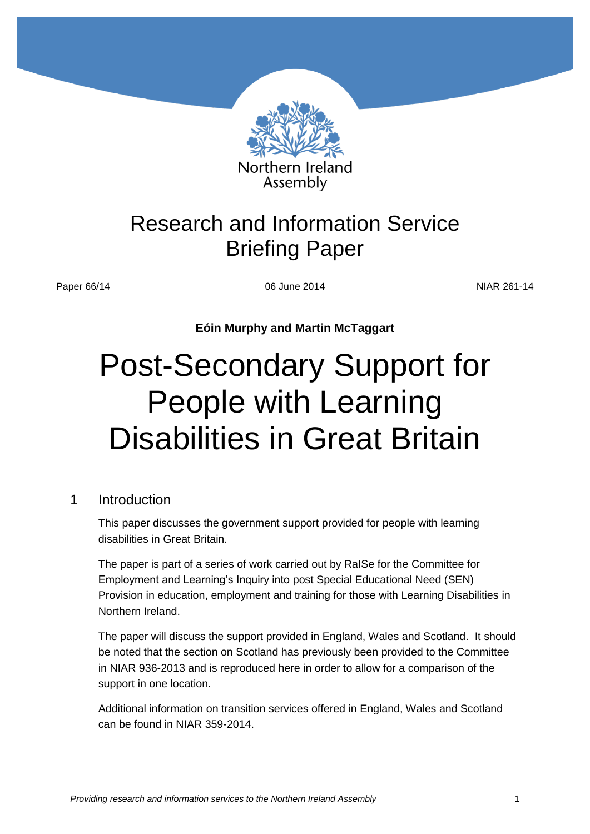

# Research and Information Service Briefing Paper

Paper 66/14 NIAR 261-14 06 June 2014 2014

**Eóin Murphy and Martin McTaggart**

# Post-Secondary Support for People with Learning Disabilities in Great Britain

# 1 Introduction

This paper discusses the government support provided for people with learning disabilities in Great Britain.

The paper is part of a series of work carried out by RaISe for the Committee for Employment and Learning's Inquiry into post Special Educational Need (SEN) Provision in education, employment and training for those with Learning Disabilities in Northern Ireland.

The paper will discuss the support provided in England, Wales and Scotland. It should be noted that the section on Scotland has previously been provided to the Committee in NIAR 936-2013 and is reproduced here in order to allow for a comparison of the support in one location.

Additional information on transition services offered in England, Wales and Scotland can be found in NIAR 359-2014.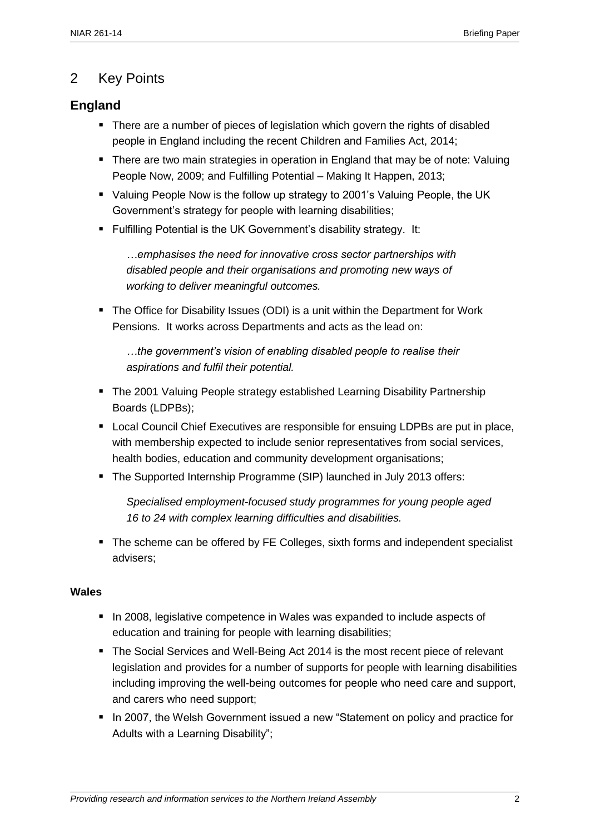# 2 Key Points

# **England**

- There are a number of pieces of legislation which govern the rights of disabled people in England including the recent Children and Families Act, 2014;
- There are two main strategies in operation in England that may be of note: Valuing People Now, 2009; and Fulfilling Potential – Making It Happen, 2013;
- Valuing People Now is the follow up strategy to 2001's Valuing People, the UK Government's strategy for people with learning disabilities;
- Fulfilling Potential is the UK Government's disability strategy. It:

*…emphasises the need for innovative cross sector partnerships with disabled people and their organisations and promoting new ways of working to deliver meaningful outcomes.*

 The Office for Disability Issues (ODI) is a unit within the Department for Work Pensions. It works across Departments and acts as the lead on:

*…the government's vision of enabling disabled people to realise their aspirations and fulfil their potential.*

- The 2001 Valuing People strategy established Learning Disability Partnership Boards (LDPBs);
- **EXECT** Local Council Chief Executives are responsible for ensuing LDPBs are put in place, with membership expected to include senior representatives from social services, health bodies, education and community development organisations;
- The Supported Internship Programme (SIP) launched in July 2013 offers:

*Specialised employment-focused study programmes for young people aged 16 to 24 with complex learning difficulties and disabilities.*

• The scheme can be offered by FE Colleges, sixth forms and independent specialist advisers;

#### **Wales**

- In 2008, legislative competence in Wales was expanded to include aspects of education and training for people with learning disabilities;
- The Social Services and Well-Being Act 2014 is the most recent piece of relevant legislation and provides for a number of supports for people with learning disabilities including improving the well-being outcomes for people who need care and support, and carers who need support;
- In 2007, the Welsh Government issued a new "Statement on policy and practice for Adults with a Learning Disability";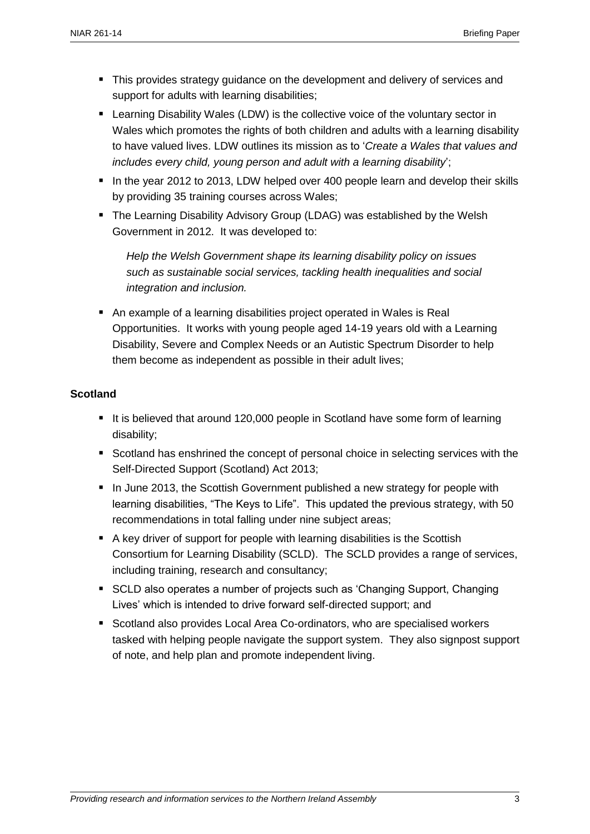- **This provides strategy guidance on the development and delivery of services and** support for adults with learning disabilities;
- Learning Disability Wales (LDW) is the collective voice of the voluntary sector in Wales which promotes the rights of both children and adults with a learning disability to have valued lives. LDW outlines its mission as to '*Create a Wales that values and includes every child, young person and adult with a learning disability*';
- In the year 2012 to 2013, LDW helped over 400 people learn and develop their skills by providing 35 training courses across Wales;
- The Learning Disability Advisory Group (LDAG) was established by the Welsh Government in 2012. It was developed to:

*Help the Welsh Government shape its learning disability policy on issues such as sustainable social services, tackling health inequalities and social integration and inclusion.*

 An example of a learning disabilities project operated in Wales is Real Opportunities. It works with young people aged 14-19 years old with a Learning Disability, Severe and Complex Needs or an Autistic Spectrum Disorder to help them become as independent as possible in their adult lives;

#### **Scotland**

- It is believed that around 120,000 people in Scotland have some form of learning disability;
- Scotland has enshrined the concept of personal choice in selecting services with the Self-Directed Support (Scotland) Act 2013;
- In June 2013, the Scottish Government published a new strategy for people with learning disabilities, "The Keys to Life". This updated the previous strategy, with 50 recommendations in total falling under nine subject areas;
- A key driver of support for people with learning disabilities is the Scottish Consortium for Learning Disability (SCLD). The SCLD provides a range of services, including training, research and consultancy;
- SCLD also operates a number of projects such as 'Changing Support, Changing Lives' which is intended to drive forward self-directed support; and
- Scotland also provides Local Area Co-ordinators, who are specialised workers tasked with helping people navigate the support system. They also signpost support of note, and help plan and promote independent living.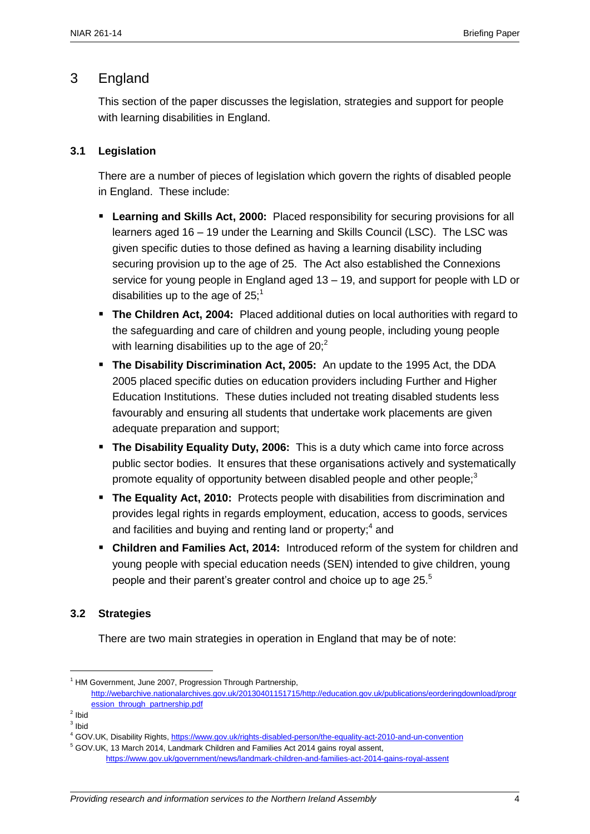# 3 England

This section of the paper discusses the legislation, strategies and support for people with learning disabilities in England.

#### **3.1 Legislation**

There are a number of pieces of legislation which govern the rights of disabled people in England. These include:

- **Learning and Skills Act, 2000:** Placed responsibility for securing provisions for all learners aged 16 – 19 under the Learning and Skills Council (LSC). The LSC was given specific duties to those defined as having a learning disability including securing provision up to the age of 25. The Act also established the Connexions service for young people in England aged 13 – 19, and support for people with LD or disabilities up to the age of  $25$ ;<sup>1</sup>
- **The Children Act, 2004:** Placed additional duties on local authorities with regard to the safeguarding and care of children and young people, including young people with learning disabilities up to the age of  $20<sup>2</sup>$ .
- **The Disability Discrimination Act, 2005:** An update to the 1995 Act, the DDA 2005 placed specific duties on education providers including Further and Higher Education Institutions. These duties included not treating disabled students less favourably and ensuring all students that undertake work placements are given adequate preparation and support;
- **The Disability Equality Duty, 2006:** This is a duty which came into force across public sector bodies. It ensures that these organisations actively and systematically promote equality of opportunity between disabled people and other people;<sup>3</sup>
- **The Equality Act, 2010:** Protects people with disabilities from discrimination and provides legal rights in regards employment, education, access to goods, services and facilities and buying and renting land or property; $4$  and
- **Children and Families Act, 2014:** Introduced reform of the system for children and young people with special education needs (SEN) intended to give children, young people and their parent's greater control and choice up to age 25.<sup>5</sup>

#### **3.2 Strategies**

There are two main strategies in operation in England that may be of note:

 $<sup>1</sup>$  HM Government, June 2007, Progression Through Partnership,</sup>

[http://webarchive.nationalarchives.gov.uk/20130401151715/http://education.gov.uk/publications/eorderingdownload/progr](http://webarchive.nationalarchives.gov.uk/20130401151715/http:/education.gov.uk/publications/eorderingdownload/progression_through_partnership.pdf) [ession\\_through\\_partnership.pdf](http://webarchive.nationalarchives.gov.uk/20130401151715/http:/education.gov.uk/publications/eorderingdownload/progression_through_partnership.pdf)

<sup>&</sup>lt;sup>2</sup> Ibid

 $3$  lbid

<sup>4</sup> GOV.UK, Disability Rights,<https://www.gov.uk/rights-disabled-person/the-equality-act-2010-and-un-convention>

<sup>5</sup> GOV.UK, 13 March 2014, Landmark Children and Families Act 2014 gains royal assent, <https://www.gov.uk/government/news/landmark-children-and-families-act-2014-gains-royal-assent>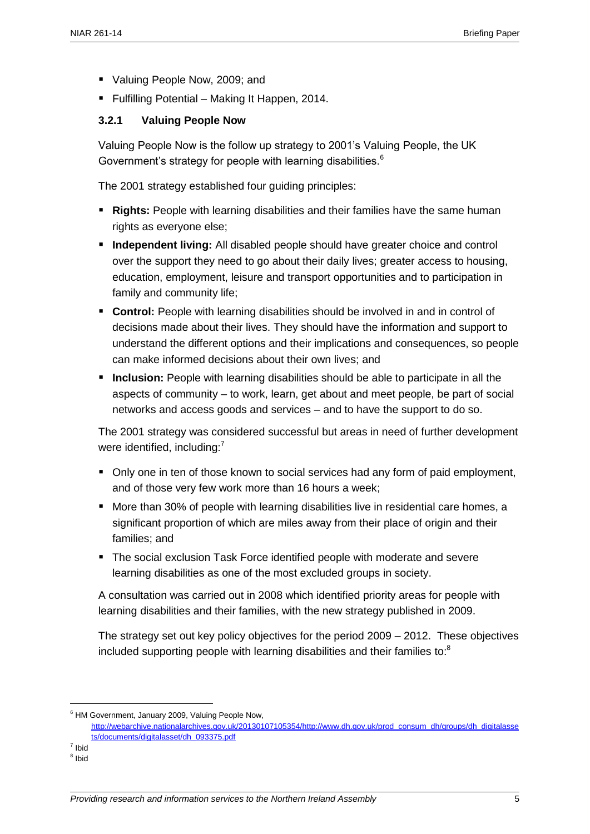- Valuing People Now, 2009; and
- **Fulfilling Potential Making It Happen, 2014.**

#### **3.2.1 Valuing People Now**

Valuing People Now is the follow up strategy to 2001's Valuing People, the UK Government's strategy for people with learning disabilities.<sup>6</sup>

The 2001 strategy established four guiding principles:

- **Rights:** People with learning disabilities and their families have the same human rights as everyone else;
- **Independent living:** All disabled people should have greater choice and control over the support they need to go about their daily lives; greater access to housing, education, employment, leisure and transport opportunities and to participation in family and community life;
- **Control:** People with learning disabilities should be involved in and in control of decisions made about their lives. They should have the information and support to understand the different options and their implications and consequences, so people can make informed decisions about their own lives; and
- **Inclusion:** People with learning disabilities should be able to participate in all the aspects of community – to work, learn, get about and meet people, be part of social networks and access goods and services – and to have the support to do so.

The 2001 strategy was considered successful but areas in need of further development were identified, including:<sup>7</sup>

- Only one in ten of those known to social services had any form of paid employment, and of those very few work more than 16 hours a week;
- **More than 30% of people with learning disabilities live in residential care homes, a** significant proportion of which are miles away from their place of origin and their families; and
- **The social exclusion Task Force identified people with moderate and severe** learning disabilities as one of the most excluded groups in society.

A consultation was carried out in 2008 which identified priority areas for people with learning disabilities and their families, with the new strategy published in 2009.

The strategy set out key policy objectives for the period 2009 – 2012. These objectives included supporting people with learning disabilities and their families to: $8$ 

7 Ibid  $^8$  Ibid

<sup>6</sup> HM Government, January 2009, Valuing People Now,

[http://webarchive.nationalarchives.gov.uk/20130107105354/http://www.dh.gov.uk/prod\\_consum\\_dh/groups/dh\\_digitalasse](http://webarchive.nationalarchives.gov.uk/20130107105354/http:/www.dh.gov.uk/prod_consum_dh/groups/dh_digitalassets/documents/digitalasset/dh_093375.pdf) [ts/documents/digitalasset/dh\\_093375.pdf](http://webarchive.nationalarchives.gov.uk/20130107105354/http:/www.dh.gov.uk/prod_consum_dh/groups/dh_digitalassets/documents/digitalasset/dh_093375.pdf)

*Providing research and information services to the Northern Ireland Assembly* 5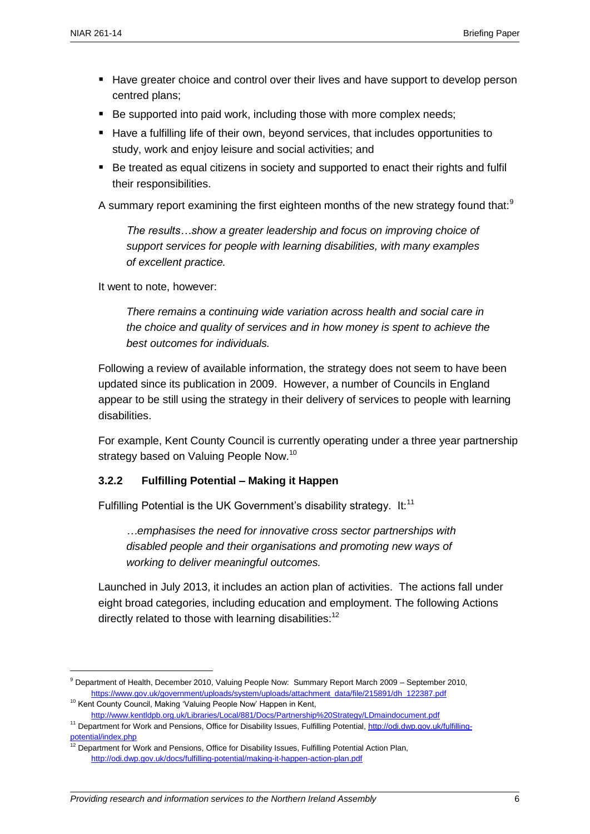- Have greater choice and control over their lives and have support to develop person centred plans;
- Be supported into paid work, including those with more complex needs:
- Have a fulfilling life of their own, beyond services, that includes opportunities to study, work and enjoy leisure and social activities; and
- Be treated as equal citizens in society and supported to enact their rights and fulfil their responsibilities.

A summary report examining the first eighteen months of the new strategy found that:<sup>9</sup>

*The results…show a greater leadership and focus on improving choice of support services for people with learning disabilities, with many examples of excellent practice.*

It went to note, however:

*There remains a continuing wide variation across health and social care in the choice and quality of services and in how money is spent to achieve the best outcomes for individuals.*

Following a review of available information, the strategy does not seem to have been updated since its publication in 2009. However, a number of Councils in England appear to be still using the strategy in their delivery of services to people with learning disabilities.

For example, Kent County Council is currently operating under a three year partnership strategy based on Valuing People Now.<sup>10</sup>

#### **3.2.2 Fulfilling Potential – Making it Happen**

Fulfilling Potential is the UK Government's disability strategy. It: $11$ 

*…emphasises the need for innovative cross sector partnerships with disabled people and their organisations and promoting new ways of working to deliver meaningful outcomes.*

Launched in July 2013, it includes an action plan of activities. The actions fall under eight broad categories, including education and employment. The following Actions directly related to those with learning disabilities:<sup>12</sup>

 $\overline{a}$ 

<http://www.kentldpb.org.uk/Libraries/Local/881/Docs/Partnership%20Strategy/LDmaindocument.pdf>

<sup>9</sup> Department of Health, December 2010, Valuing People Now: Summary Report March 2009 – September 2010, [https://www.gov.uk/government/uploads/system/uploads/attachment\\_data/file/215891/dh\\_122387.pdf](https://www.gov.uk/government/uploads/system/uploads/attachment_data/file/215891/dh_122387.pdf)

<sup>&</sup>lt;sup>10</sup> Kent County Council, Making 'Valuing People Now' Happen in Kent,

<sup>&</sup>lt;sup>11</sup> Department for Work and Pensions, Office for Disability Issues, Fulfilling Potential[, http://odi.dwp.gov.uk/fulfilling](http://odi.dwp.gov.uk/fulfilling-potential/index.php)[potential/index.php](http://odi.dwp.gov.uk/fulfilling-potential/index.php)

<sup>&</sup>lt;sup>12</sup> Department for Work and Pensions, Office for Disability Issues, Fulfilling Potential Action Plan, <http://odi.dwp.gov.uk/docs/fulfilling-potential/making-it-happen-action-plan.pdf>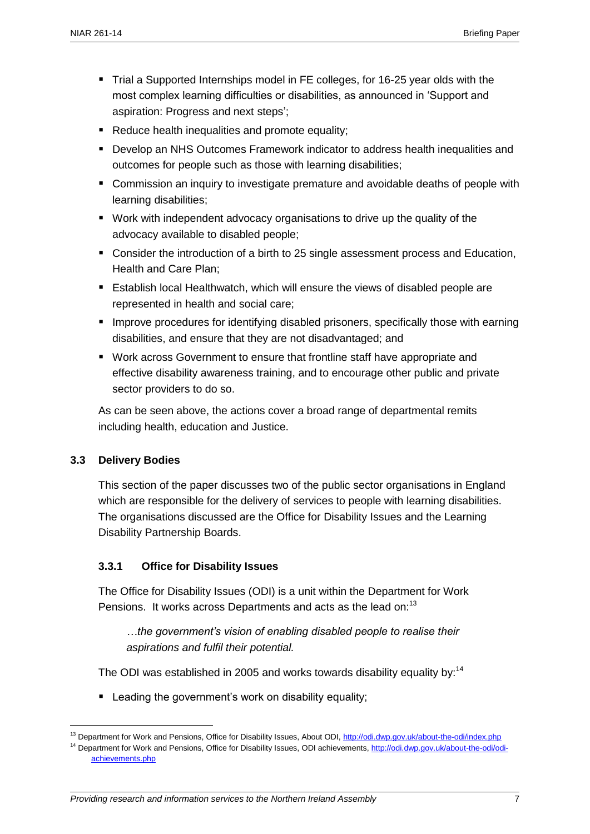- Trial a Supported Internships model in FE colleges, for 16-25 year olds with the most complex learning difficulties or disabilities, as announced in 'Support and aspiration: Progress and next steps';
- Reduce health inequalities and promote equality;
- Develop an NHS Outcomes Framework indicator to address health inequalities and outcomes for people such as those with learning disabilities;
- **EXTER** Commission an inquiry to investigate premature and avoidable deaths of people with learning disabilities;
- Work with independent advocacy organisations to drive up the quality of the advocacy available to disabled people;
- **Consider the introduction of a birth to 25 single assessment process and Education,** Health and Care Plan;
- **Establish local Healthwatch, which will ensure the views of disabled people are** represented in health and social care;
- **IMPROVE PROCEDURES FOR IDENTIFYING DEADLED FOR IDENTIFYING** Interpretational extension in the arning disabilities, and ensure that they are not disadvantaged; and
- Work across Government to ensure that frontline staff have appropriate and effective disability awareness training, and to encourage other public and private sector providers to do so.

As can be seen above, the actions cover a broad range of departmental remits including health, education and Justice.

#### **3.3 Delivery Bodies**

 $\overline{a}$ 

This section of the paper discusses two of the public sector organisations in England which are responsible for the delivery of services to people with learning disabilities. The organisations discussed are the Office for Disability Issues and the Learning Disability Partnership Boards.

#### **3.3.1 Office for Disability Issues**

The Office for Disability Issues (ODI) is a unit within the Department for Work Pensions. It works across Departments and acts as the lead on:<sup>13</sup>

*…the government's vision of enabling disabled people to realise their aspirations and fulfil their potential.*

The ODI was established in 2005 and works towards disability equality by: $14$ 

**EXECT** Leading the government's work on disability equality;

<sup>&</sup>lt;sup>13</sup> Department for Work and Pensions, Office for Disability Issues, About ODI,<http://odi.dwp.gov.uk/about-the-odi/index.php> <sup>14</sup> Department for Work and Pensions, Office for Disability Issues, ODI achievements, [http://odi.dwp.gov.uk/about-the-odi/odi](http://odi.dwp.gov.uk/about-the-odi/odi-achievements.php)[achievements.php](http://odi.dwp.gov.uk/about-the-odi/odi-achievements.php)

*Providing research and information services to the Northern Ireland Assembly* 7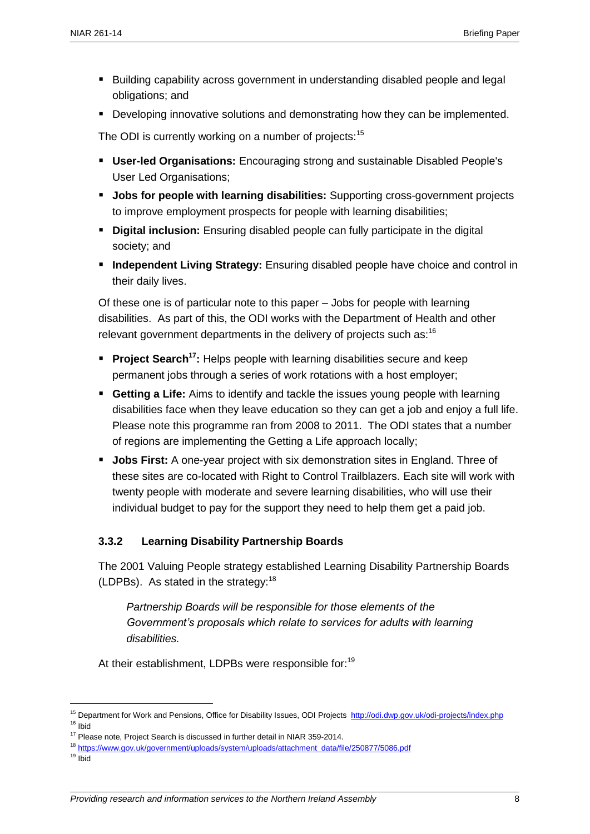- **Building capability across government in understanding disabled people and legal** obligations; and
- **Developing innovative solutions and demonstrating how they can be implemented.**

The ODI is currently working on a number of projects:<sup>15</sup>

- **User-led Organisations:** Encouraging strong and sustainable Disabled People's User Led Organisations;
- **Jobs for people with learning disabilities:** Supporting cross-government projects to improve employment prospects for people with learning disabilities;
- **Digital inclusion:** Ensuring disabled people can fully participate in the digital society; and
- **Independent Living Strategy:** Ensuring disabled people have choice and control in their daily lives.

Of these one is of particular note to this paper – Jobs for people with learning disabilities. As part of this, the ODI works with the Department of Health and other relevant government departments in the delivery of projects such as:  $16$ 

- **Project Search<sup>17</sup>:** Helps people with learning disabilities secure and keep permanent jobs through a series of work rotations with a host employer;
- **Getting a Life:** Aims to identify and tackle the issues young people with learning disabilities face when they leave education so they can get a job and enjoy a full life. Please note this programme ran from 2008 to 2011. The ODI states that a number of regions are implementing the Getting a Life approach locally;
- **Jobs First:** A one-year project with six demonstration sites in England. Three of these sites are co-located with Right to Control Trailblazers. Each site will work with twenty people with moderate and severe learning disabilities, who will use their individual budget to pay for the support they need to help them get a paid job.

#### **3.3.2 Learning Disability Partnership Boards**

The 2001 Valuing People strategy established Learning Disability Partnership Boards (LDPBs). As stated in the strategy: $18$ 

*Partnership Boards will be responsible for those elements of the Government's proposals which relate to services for adults with learning disabilities.*

At their establishment, LDPBs were responsible for:<sup>19</sup>

<sup>&</sup>lt;sup>15</sup> Department for Work and Pensions, Office for Disability Issues, ODI Projects<http://odi.dwp.gov.uk/odi-projects/index.php> <sup>16</sup> Ibid

<sup>&</sup>lt;sup>17</sup> Please note, Project Search is discussed in further detail in NIAR 359-2014.

<sup>18</sup> [https://www.gov.uk/government/uploads/system/uploads/attachment\\_data/file/250877/5086.pdf](https://www.gov.uk/government/uploads/system/uploads/attachment_data/file/250877/5086.pdf)

 $19$  Ibid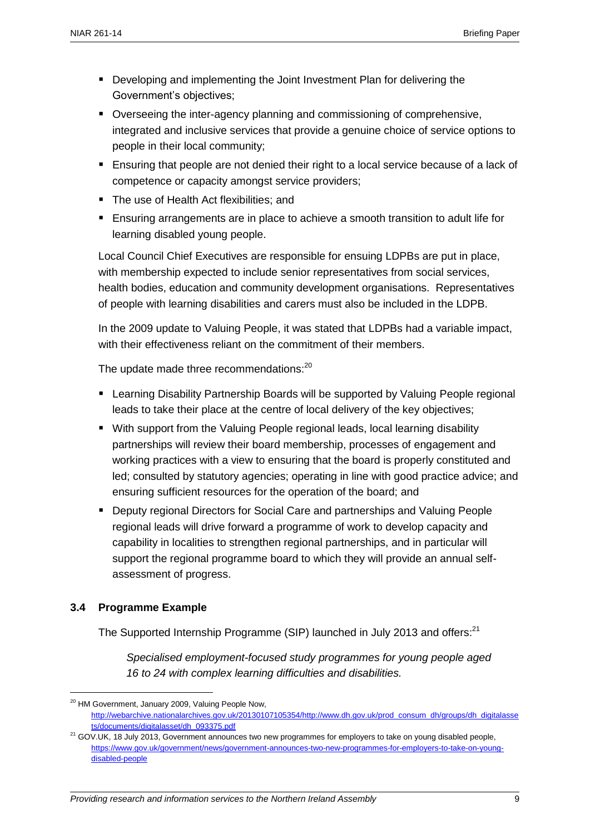- Developing and implementing the Joint Investment Plan for delivering the Government's objectives;
- Overseeing the inter-agency planning and commissioning of comprehensive, integrated and inclusive services that provide a genuine choice of service options to people in their local community;
- **Ensuring that people are not denied their right to a local service because of a lack of** competence or capacity amongst service providers;
- The use of Health Act flexibilities; and
- Ensuring arrangements are in place to achieve a smooth transition to adult life for learning disabled young people.

Local Council Chief Executives are responsible for ensuing LDPBs are put in place, with membership expected to include senior representatives from social services, health bodies, education and community development organisations. Representatives of people with learning disabilities and carers must also be included in the LDPB.

In the 2009 update to Valuing People, it was stated that LDPBs had a variable impact, with their effectiveness reliant on the commitment of their members.

The update made three recommendations:<sup>20</sup>

- Learning Disability Partnership Boards will be supported by Valuing People regional leads to take their place at the centre of local delivery of the key objectives;
- With support from the Valuing People regional leads, local learning disability partnerships will review their board membership, processes of engagement and working practices with a view to ensuring that the board is properly constituted and led; consulted by statutory agencies; operating in line with good practice advice; and ensuring sufficient resources for the operation of the board; and
- Deputy regional Directors for Social Care and partnerships and Valuing People regional leads will drive forward a programme of work to develop capacity and capability in localities to strengthen regional partnerships, and in particular will support the regional programme board to which they will provide an annual selfassessment of progress.

#### **3.4 Programme Example**

 $\overline{a}$ 

The Supported Internship Programme (SIP) launched in July 2013 and offers:<sup>21</sup>

*Specialised employment-focused study programmes for young people aged 16 to 24 with complex learning difficulties and disabilities.*

<sup>&</sup>lt;sup>20</sup> HM Government, January 2009, Valuing People Now, [http://webarchive.nationalarchives.gov.uk/20130107105354/http://www.dh.gov.uk/prod\\_consum\\_dh/groups/dh\\_digitalasse](http://webarchive.nationalarchives.gov.uk/20130107105354/http:/www.dh.gov.uk/prod_consum_dh/groups/dh_digitalassets/documents/digitalasset/dh_093375.pdf) [ts/documents/digitalasset/dh\\_093375.pdf](http://webarchive.nationalarchives.gov.uk/20130107105354/http:/www.dh.gov.uk/prod_consum_dh/groups/dh_digitalassets/documents/digitalasset/dh_093375.pdf)

 $21$  GOV.UK, 18 July 2013, Government announces two new programmes for employers to take on young disabled people, [https://www.gov.uk/government/news/government-announces-two-new-programmes-for-employers-to-take-on-young](https://www.gov.uk/government/news/government-announces-two-new-programmes-for-employers-to-take-on-young-disabled-people)[disabled-people](https://www.gov.uk/government/news/government-announces-two-new-programmes-for-employers-to-take-on-young-disabled-people)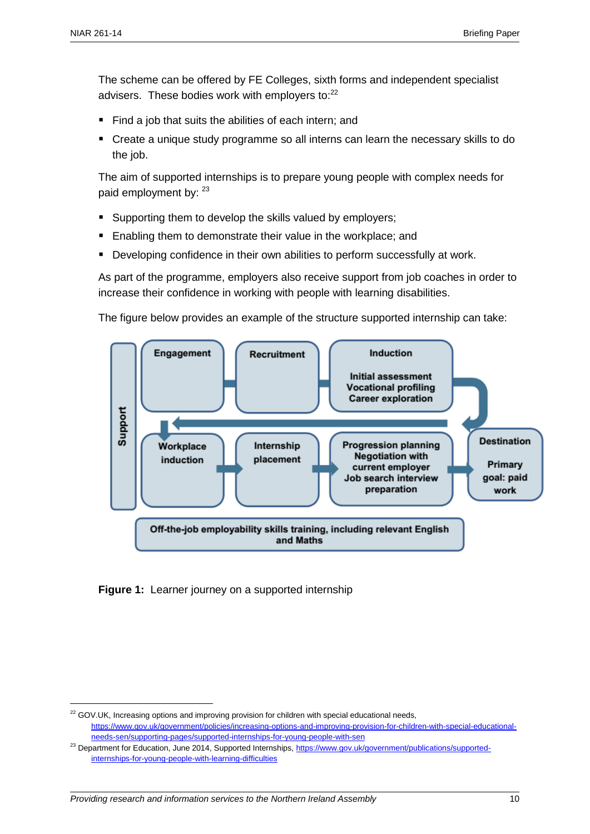$\overline{a}$ 

The scheme can be offered by FE Colleges, sixth forms and independent specialist advisers. These bodies work with employers to:<sup>22</sup>

- Find a job that suits the abilities of each intern; and
- Create a unique study programme so all interns can learn the necessary skills to do the job.

The aim of supported internships is to prepare young people with complex needs for paid employment by: 23

- **Supporting them to develop the skills valued by employers;**
- Enabling them to demonstrate their value in the workplace; and
- Developing confidence in their own abilities to perform successfully at work.

As part of the programme, employers also receive support from job coaches in order to increase their confidence in working with people with learning disabilities.

The figure below provides an example of the structure supported internship can take:



**Figure 1:** Learner journey on a supported internship

<sup>&</sup>lt;sup>22</sup> GOV.UK, Increasing options and improving provision for children with special educational needs, [https://www.gov.uk/government/policies/increasing-options-and-improving-provision-for-children-with-special-educational](https://www.gov.uk/government/policies/increasing-options-and-improving-provision-for-children-with-special-educational-needs-sen/supporting-pages/supported-internships-for-young-people-with-sen)[needs-sen/supporting-pages/supported-internships-for-young-people-with-sen](https://www.gov.uk/government/policies/increasing-options-and-improving-provision-for-children-with-special-educational-needs-sen/supporting-pages/supported-internships-for-young-people-with-sen)

<sup>&</sup>lt;sup>23</sup> Department for Education, June 2014, Supported Internships, [https://www.gov.uk/government/publications/supported](https://www.gov.uk/government/publications/supported-internships-for-young-people-with-learning-difficulties)[internships-for-young-people-with-learning-difficulties](https://www.gov.uk/government/publications/supported-internships-for-young-people-with-learning-difficulties)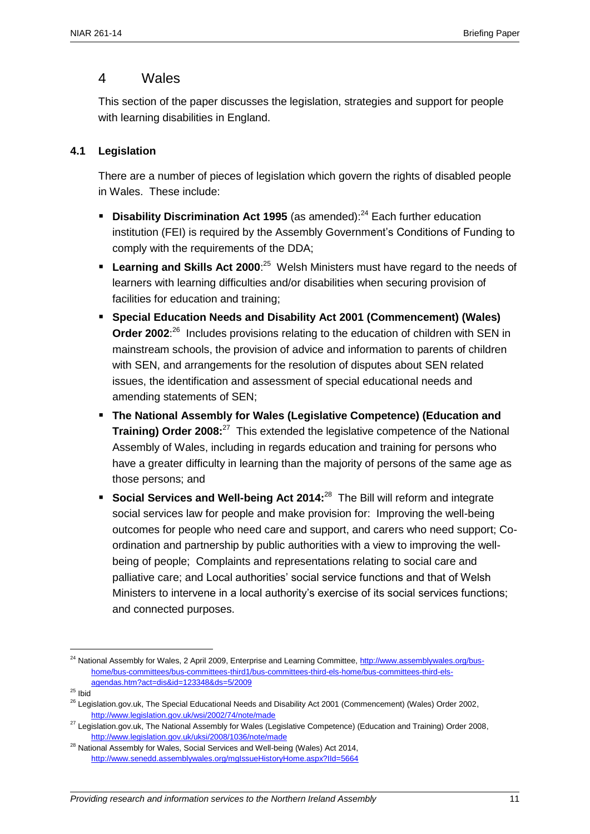## 4 Wales

This section of the paper discusses the legislation, strategies and support for people with learning disabilities in England.

#### **4.1 Legislation**

There are a number of pieces of legislation which govern the rights of disabled people in Wales. These include:

- **Disability Discrimination Act 1995** (as amended):<sup>24</sup> Each further education institution (FEI) is required by the Assembly Government's Conditions of Funding to comply with the requirements of the DDA;
- **Learning and Skills Act 2000**<sup>-25</sup> Welsh Ministers must have regard to the needs of learners with learning difficulties and/or disabilities when securing provision of facilities for education and training;
- **Special Education Needs and Disability Act 2001 (Commencement) (Wales)**  Order 2002<sup>26</sup> Includes provisions relating to the education of children with SEN in mainstream schools, the provision of advice and information to parents of children with SEN, and arrangements for the resolution of disputes about SEN related issues, the identification and assessment of special educational needs and amending statements of SEN;
- **The National Assembly for Wales (Legislative Competence) (Education and Training) Order 2008:**<sup>27</sup> This extended the legislative competence of the National Assembly of Wales, including in regards education and training for persons who have a greater difficulty in learning than the majority of persons of the same age as those persons; and
- **Social Services and Well-being Act 2014:**<sup>28</sup> The Bill will reform and integrate social services law for people and make provision for: Improving the well-being outcomes for people who need care and support, and carers who need support; Coordination and partnership by public authorities with a view to improving the wellbeing of people; Complaints and representations relating to social care and palliative care; and Local authorities' social service functions and that of Welsh Ministers to intervene in a local authority's exercise of its social services functions; and connected purposes.

<sup>&</sup>lt;sup>24</sup> National Assembly for Wales, 2 April 2009, Enterprise and Learning Committee, [http://www.assemblywales.org/bus](http://www.assemblywales.org/bus-home/bus-committees/bus-committees-third1/bus-committees-third-els-home/bus-committees-third-els-agendas.htm?act=dis&id=123348&ds=5/2009)[home/bus-committees/bus-committees-third1/bus-committees-third-els-home/bus-committees-third-els](http://www.assemblywales.org/bus-home/bus-committees/bus-committees-third1/bus-committees-third-els-home/bus-committees-third-els-agendas.htm?act=dis&id=123348&ds=5/2009)[agendas.htm?act=dis&id=123348&ds=5/2009](http://www.assemblywales.org/bus-home/bus-committees/bus-committees-third1/bus-committees-third-els-home/bus-committees-third-els-agendas.htm?act=dis&id=123348&ds=5/2009)

 $^{25}$  Ibid

<sup>&</sup>lt;sup>26</sup> Legislation.gov.uk, The Special Educational Needs and Disability Act 2001 (Commencement) (Wales) Order 2002, <http://www.legislation.gov.uk/wsi/2002/74/note/made>

<sup>&</sup>lt;sup>27</sup> Legislation.gov.uk, The National Assembly for Wales (Legislative Competence) (Education and Training) Order 2008, <http://www.legislation.gov.uk/uksi/2008/1036/note/made>

 $28$  National Assembly for Wales, Social Services and Well-being (Wales) Act 2014, <http://www.senedd.assemblywales.org/mgIssueHistoryHome.aspx?IId=5664>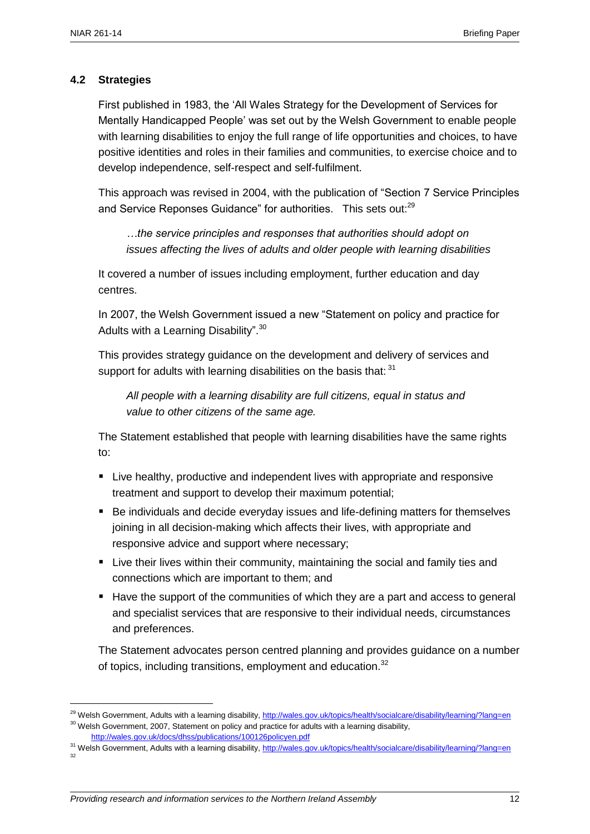$\overline{a}$ 

#### **4.2 Strategies**

First published in 1983, the 'All Wales Strategy for the Development of Services for Mentally Handicapped People' was set out by the Welsh Government to enable people with learning disabilities to enjoy the full range of life opportunities and choices, to have positive identities and roles in their families and communities, to exercise choice and to develop independence, self-respect and self-fulfilment.

This approach was revised in 2004, with the publication of "Section 7 Service Principles and Service Reponses Guidance" for authorities. This sets out:<sup>29</sup>

*…the service principles and responses that authorities should adopt on issues affecting the lives of adults and older people with learning disabilities*

It covered a number of issues including employment, further education and day centres.

In 2007, the Welsh Government issued a new "Statement on policy and practice for Adults with a Learning Disability".<sup>30</sup>

This provides strategy guidance on the development and delivery of services and support for adults with learning disabilities on the basis that: 31

*All people with a learning disability are full citizens, equal in status and value to other citizens of the same age.*

The Statement established that people with learning disabilities have the same rights to:

- **EXTE:** Live healthy, productive and independent lives with appropriate and responsive treatment and support to develop their maximum potential;
- Be individuals and decide everyday issues and life-defining matters for themselves joining in all decision-making which affects their lives, with appropriate and responsive advice and support where necessary;
- **E** Live their lives within their community, maintaining the social and family ties and connections which are important to them; and
- Have the support of the communities of which they are a part and access to general and specialist services that are responsive to their individual needs, circumstances and preferences.

The Statement advocates person centred planning and provides guidance on a number of topics, including transitions, employment and education.<sup>32</sup>

31 Welsh Government, Adults with a learning disability,<http://wales.gov.uk/topics/health/socialcare/disability/learning/?lang=en> 32

<sup>&</sup>lt;sup>29</sup> Welsh Government, Adults with a learning disability,<http://wales.gov.uk/topics/health/socialcare/disability/learning/?lang=en> <sup>30</sup> Welsh Government, 2007, Statement on policy and practice for adults with a learning disability, <http://wales.gov.uk/docs/dhss/publications/100126policyen.pdf>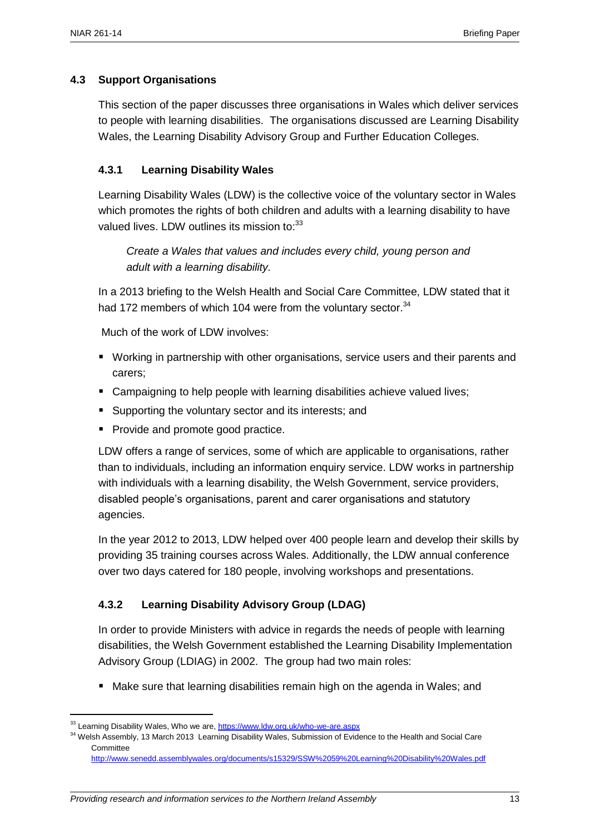#### **4.3 Support Organisations**

This section of the paper discusses three organisations in Wales which deliver services to people with learning disabilities. The organisations discussed are Learning Disability Wales, the Learning Disability Advisory Group and Further Education Colleges.

#### **4.3.1 Learning Disability Wales**

Learning Disability Wales (LDW) is the collective voice of the voluntary sector in Wales which promotes the rights of both children and adults with a learning disability to have valued lives. LDW outlines its mission to:<sup>33</sup>

*Create a Wales that values and includes every child, young person and adult with a learning disability.*

In a 2013 briefing to the Welsh Health and Social Care Committee, LDW stated that it had 172 members of which 104 were from the voluntary sector.<sup>34</sup>

Much of the work of LDW involves:

- Working in partnership with other organisations, service users and their parents and carers;
- Campaigning to help people with learning disabilities achieve valued lives;
- **Supporting the voluntary sector and its interests; and**
- Provide and promote good practice.

LDW offers a range of services, some of which are applicable to organisations, rather than to individuals, including an information enquiry service. LDW works in partnership with individuals with a learning disability, the Welsh Government, service providers, disabled people's organisations, parent and carer organisations and statutory agencies.

In the year 2012 to 2013, LDW helped over 400 people learn and develop their skills by providing 35 training courses across Wales. Additionally, the LDW annual conference over two days catered for 180 people, involving workshops and presentations.

#### **4.3.2 Learning Disability Advisory Group (LDAG)**

In order to provide Ministers with advice in regards the needs of people with learning disabilities, the Welsh Government established the Learning Disability Implementation Advisory Group (LDIAG) in 2002. The group had two main roles:

**Make sure that learning disabilities remain high on the agenda in Wales; and** 

<sup>&</sup>lt;sup>33</sup> Learning Disability Wales, Who we are,<https://www.ldw.org.uk/who-we-are.aspx>

<sup>&</sup>lt;sup>34</sup> Welsh Assembly, 13 March 2013 Learning Disability Wales, Submission of Evidence to the Health and Social Care **Committee** 

<http://www.senedd.assemblywales.org/documents/s15329/SSW%2059%20Learning%20Disability%20Wales.pdf>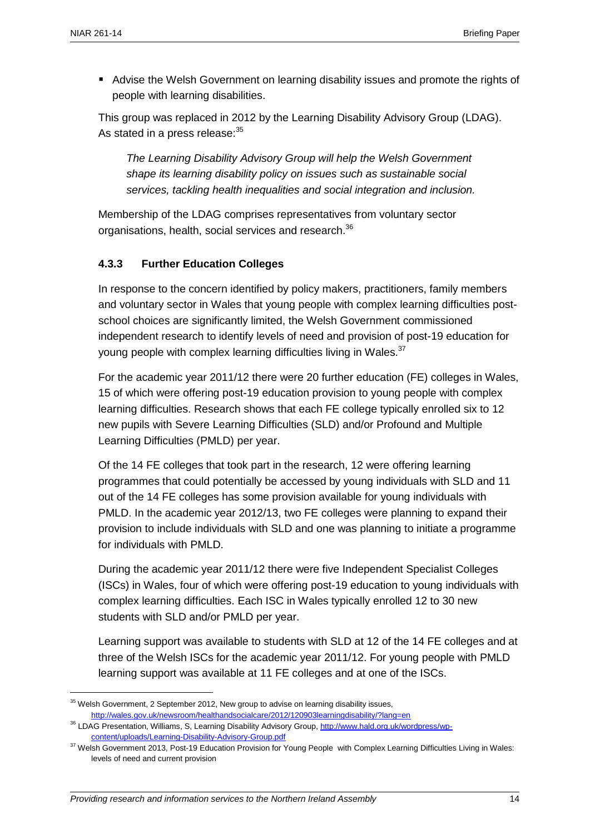$\overline{a}$ 

 Advise the Welsh Government on learning disability issues and promote the rights of people with learning disabilities.

This group was replaced in 2012 by the Learning Disability Advisory Group (LDAG). As stated in a press release: 35

*The Learning Disability Advisory Group will help the Welsh Government shape its learning disability policy on issues such as sustainable social services, tackling health inequalities and social integration and inclusion.*

Membership of the LDAG comprises representatives from voluntary sector organisations, health, social services and research.<sup>36</sup>

## **4.3.3 Further Education Colleges**

In response to the concern identified by policy makers, practitioners, family members and voluntary sector in Wales that young people with complex learning difficulties postschool choices are significantly limited, the Welsh Government commissioned independent research to identify levels of need and provision of post-19 education for young people with complex learning difficulties living in Wales. $37$ 

For the academic year 2011/12 there were 20 further education (FE) colleges in Wales, 15 of which were offering post-19 education provision to young people with complex learning difficulties. Research shows that each FE college typically enrolled six to 12 new pupils with Severe Learning Difficulties (SLD) and/or Profound and Multiple Learning Difficulties (PMLD) per year.

Of the 14 FE colleges that took part in the research, 12 were offering learning programmes that could potentially be accessed by young individuals with SLD and 11 out of the 14 FE colleges has some provision available for young individuals with PMLD. In the academic year 2012/13, two FE colleges were planning to expand their provision to include individuals with SLD and one was planning to initiate a programme for individuals with PMLD.

During the academic year 2011/12 there were five Independent Specialist Colleges (ISCs) in Wales, four of which were offering post-19 education to young individuals with complex learning difficulties. Each ISC in Wales typically enrolled 12 to 30 new students with SLD and/or PMLD per year.

Learning support was available to students with SLD at 12 of the 14 FE colleges and at three of the Welsh ISCs for the academic year 2011/12. For young people with PMLD learning support was available at 11 FE colleges and at one of the ISCs.

<sup>&</sup>lt;sup>35</sup> Welsh Government, 2 September 2012, New group to advise on learning disability issues, <http://wales.gov.uk/newsroom/healthandsocialcare/2012/120903learningdisability/?lang=en>

<sup>&</sup>lt;sup>36</sup> LDAG Presentation, Williams, S, Learning Disability Advisory Group[, http://www.hald.org.uk/wordpress/wp](http://www.hald.org.uk/wordpress/wp-content/uploads/Learning-Disability-Advisory-Group.pdf)[content/uploads/Learning-Disability-Advisory-Group.pdf](http://www.hald.org.uk/wordpress/wp-content/uploads/Learning-Disability-Advisory-Group.pdf)

<sup>&</sup>lt;sup>37</sup> Welsh Government 2013, Post-19 Education Provision for Young People with Complex Learning Difficulties Living in Wales: levels of need and current provision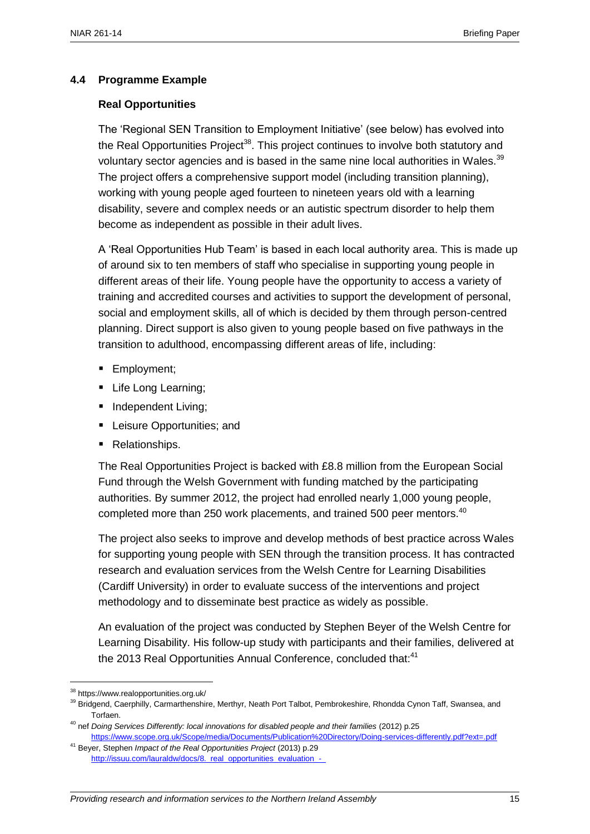#### **4.4 Programme Example**

#### **Real Opportunities**

The 'Regional SEN Transition to Employment Initiative' (see below) has evolved into the Real Opportunities Project<sup>38</sup>. This project continues to involve both statutory and voluntary sector agencies and is based in the same nine local authorities in Wales.<sup>39</sup> The project offers a comprehensive support model (including transition planning), working with young people aged fourteen to nineteen years old with a learning disability, severe and complex needs or an autistic spectrum disorder to help them become as independent as possible in their adult lives.

A 'Real Opportunities Hub Team' is based in each local authority area. This is made up of around six to ten members of staff who specialise in supporting young people in different areas of their life. Young people have the opportunity to access a variety of training and accredited courses and activities to support the development of personal, social and employment skills, all of which is decided by them through person-centred planning. Direct support is also given to young people based on five pathways in the transition to adulthood, encompassing different areas of life, including:

- **Employment**;
- Life Long Learning;
- **Independent Living;**
- **EXEC** Leisure Opportunities; and
- Relationships.

The Real Opportunities Project is backed with £8.8 million from the European Social Fund through the Welsh Government with funding matched by the participating authorities. By summer 2012, the project had enrolled nearly 1,000 young people, completed more than 250 work placements, and trained 500 peer mentors.<sup>40</sup>

The project also seeks to improve and develop methods of best practice across Wales for supporting young people with SEN through the transition process. It has contracted research and evaluation services from the Welsh Centre for Learning Disabilities (Cardiff University) in order to evaluate success of the interventions and project methodology and to disseminate best practice as widely as possible.

An evaluation of the project was conducted by Stephen Beyer of the Welsh Centre for Learning Disability. His follow-up study with participants and their families, delivered at the 2013 Real Opportunities Annual Conference, concluded that:<sup>41</sup>

<sup>38</sup> https://www.realopportunities.org.uk/

<sup>&</sup>lt;sup>39</sup> Bridgend, Caerphilly, Carmarthenshire, Merthyr, Neath Port Talbot, Pembrokeshire, Rhondda Cynon Taff, Swansea, and Torfaen.

<sup>&</sup>lt;sup>40</sup> nef *Doing Services Differently: local innovations for disabled people and their families (2012) p.25* <https://www.scope.org.uk/Scope/media/Documents/Publication%20Directory/Doing-services-differently.pdf?ext=.pdf>

<sup>41</sup> Beyer, Stephen *Impact of the Real Opportunities Project* (2013) p.29 http://issuu.com/lauraldw/docs/8.\_real\_opportunities\_evaluation\_-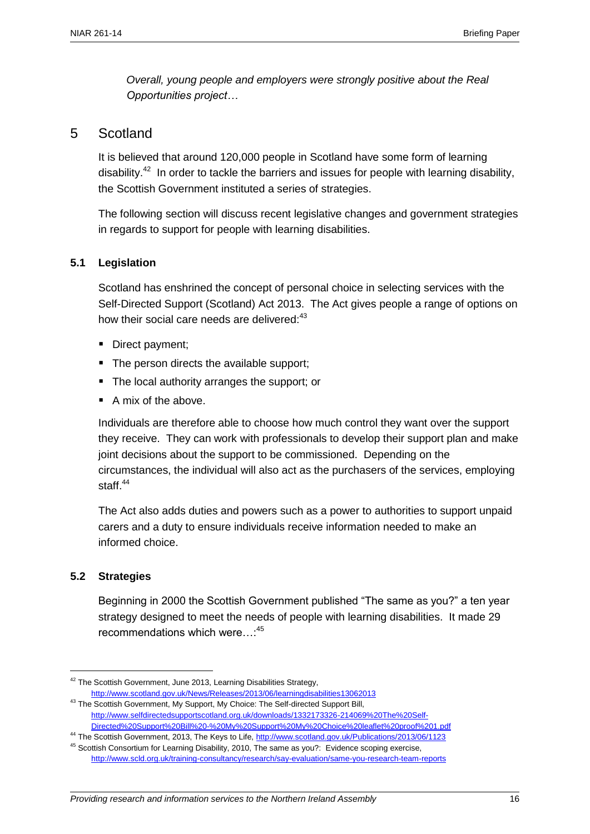*Overall, young people and employers were strongly positive about the Real Opportunities project…*

#### 5 Scotland

It is believed that around 120,000 people in Scotland have some form of learning disability.<sup>42</sup> In order to tackle the barriers and issues for people with learning disability, the Scottish Government instituted a series of strategies.

The following section will discuss recent legislative changes and government strategies in regards to support for people with learning disabilities.

#### **5.1 Legislation**

Scotland has enshrined the concept of personal choice in selecting services with the Self-Directed Support (Scotland) Act 2013. The Act gives people a range of options on how their social care needs are delivered:<sup>43</sup>

- Direct payment;
- The person directs the available support;
- The local authority arranges the support; or
- A mix of the above.

Individuals are therefore able to choose how much control they want over the support they receive. They can work with professionals to develop their support plan and make joint decisions about the support to be commissioned. Depending on the circumstances, the individual will also act as the purchasers of the services, employing staff. $44$ 

The Act also adds duties and powers such as a power to authorities to support unpaid carers and a duty to ensure individuals receive information needed to make an informed choice.

#### **5.2 Strategies**

 $\overline{a}$ 

Beginning in 2000 the Scottish Government published "The same as you?" a ten year strategy designed to meet the needs of people with learning disabilities. It made 29 recommendations which were…:<sup>45</sup>

<sup>&</sup>lt;sup>42</sup> The Scottish Government, June 2013, Learning Disabilities Strategy,

<http://www.scotland.gov.uk/News/Releases/2013/06/learningdisabilities13062013> <sup>43</sup> The Scottish Government, My Support, My Choice: The Self-directed Support Bill, [http://www.selfdirectedsupportscotland.org.uk/downloads/1332173326-214069%20The%20Self-](http://www.selfdirectedsupportscotland.org.uk/downloads/1332173326-214069%20The%20Self-Directed%20Support%20Bill%20-%20My%20Support%20My%20Choice%20leaflet%20proof%201.pdf)[Directed%20Support%20Bill%20-%20My%20Support%20My%20Choice%20leaflet%20proof%201.pdf](http://www.selfdirectedsupportscotland.org.uk/downloads/1332173326-214069%20The%20Self-Directed%20Support%20Bill%20-%20My%20Support%20My%20Choice%20leaflet%20proof%201.pdf)

<sup>&</sup>lt;sup>44</sup> The Scottish Government, 2013, The Keys to Life[, http://www.scotland.gov.uk/Publications/2013/06/1123](http://www.scotland.gov.uk/Publications/2013/06/1123)

<sup>&</sup>lt;sup>45</sup> Scottish Consortium for Learning Disability, 2010, The same as you?: Evidence scoping exercise, <http://www.scld.org.uk/training-consultancy/research/say-evaluation/same-you-research-team-reports>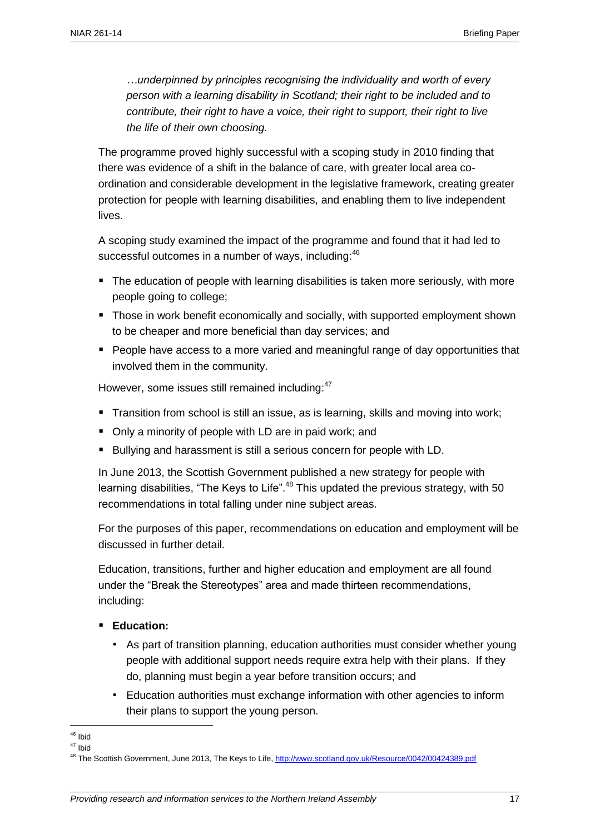*…underpinned by principles recognising the individuality and worth of every person with a learning disability in Scotland; their right to be included and to contribute, their right to have a voice, their right to support, their right to live the life of their own choosing.*

The programme proved highly successful with a scoping study in 2010 finding that there was evidence of a shift in the balance of care, with greater local area coordination and considerable development in the legislative framework, creating greater protection for people with learning disabilities, and enabling them to live independent lives.

A scoping study examined the impact of the programme and found that it had led to successful outcomes in a number of ways, including: 46

- The education of people with learning disabilities is taken more seriously, with more people going to college;
- **Those in work benefit economically and socially, with supported employment shown** to be cheaper and more beneficial than day services; and
- **People have access to a more varied and meaningful range of day opportunities that** involved them in the community.

However, some issues still remained including:<sup>47</sup>

- **Transition from school is still an issue, as is learning, skills and moving into work;**
- Only a minority of people with LD are in paid work; and
- Bullying and harassment is still a serious concern for people with LD.

In June 2013, the Scottish Government published a new strategy for people with learning disabilities, "The Keys to Life".<sup>48</sup> This updated the previous strategy, with 50 recommendations in total falling under nine subject areas.

For the purposes of this paper, recommendations on education and employment will be discussed in further detail.

Education, transitions, further and higher education and employment are all found under the "Break the Stereotypes" area and made thirteen recommendations, including:

#### **Education:**

- As part of transition planning, education authorities must consider whether young people with additional support needs require extra help with their plans. If they do, planning must begin a year before transition occurs; and
- Education authorities must exchange information with other agencies to inform their plans to support the young person.

 $\overline{a}$ <sup>46</sup> Ibid

<sup>47</sup> Ibid

<sup>&</sup>lt;sup>48</sup> The Scottish Government, June 2013, The Keys to Life,<http://www.scotland.gov.uk/Resource/0042/00424389.pdf>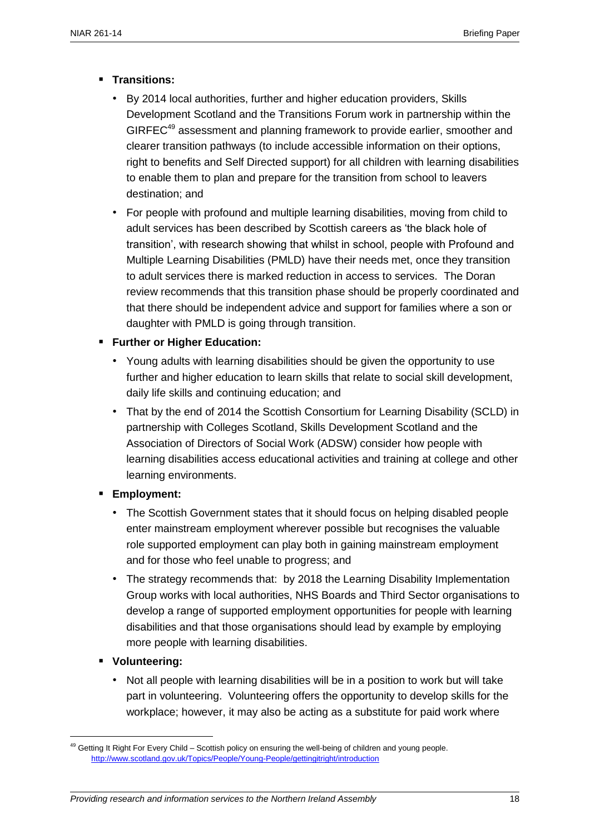- **Transitions:** 
	- By 2014 local authorities, further and higher education providers, Skills Development Scotland and the Transitions Forum work in partnership within the GIRFEC<sup>49</sup> assessment and planning framework to provide earlier, smoother and clearer transition pathways (to include accessible information on their options, right to benefits and Self Directed support) for all children with learning disabilities to enable them to plan and prepare for the transition from school to leavers destination; and
	- For people with profound and multiple learning disabilities, moving from child to adult services has been described by Scottish careers as 'the black hole of transition', with research showing that whilst in school, people with Profound and Multiple Learning Disabilities (PMLD) have their needs met, once they transition to adult services there is marked reduction in access to services. The Doran review recommends that this transition phase should be properly coordinated and that there should be independent advice and support for families where a son or daughter with PMLD is going through transition.

#### **Further or Higher Education:**

- Young adults with learning disabilities should be given the opportunity to use further and higher education to learn skills that relate to social skill development, daily life skills and continuing education; and
- That by the end of 2014 the Scottish Consortium for Learning Disability (SCLD) in partnership with Colleges Scotland, Skills Development Scotland and the Association of Directors of Social Work (ADSW) consider how people with learning disabilities access educational activities and training at college and other learning environments.
- **Employment:**
	- The Scottish Government states that it should focus on helping disabled people enter mainstream employment wherever possible but recognises the valuable role supported employment can play both in gaining mainstream employment and for those who feel unable to progress; and
	- The strategy recommends that: by 2018 the Learning Disability Implementation Group works with local authorities, NHS Boards and Third Sector organisations to develop a range of supported employment opportunities for people with learning disabilities and that those organisations should lead by example by employing more people with learning disabilities.
- **Volunteering:**

 $\overline{a}$ 

• Not all people with learning disabilities will be in a position to work but will take part in volunteering. Volunteering offers the opportunity to develop skills for the workplace; however, it may also be acting as a substitute for paid work where

<sup>&</sup>lt;sup>49</sup> Getting It Right For Every Child – Scottish policy on ensuring the well-being of children and young people. <http://www.scotland.gov.uk/Topics/People/Young-People/gettingitright/introduction>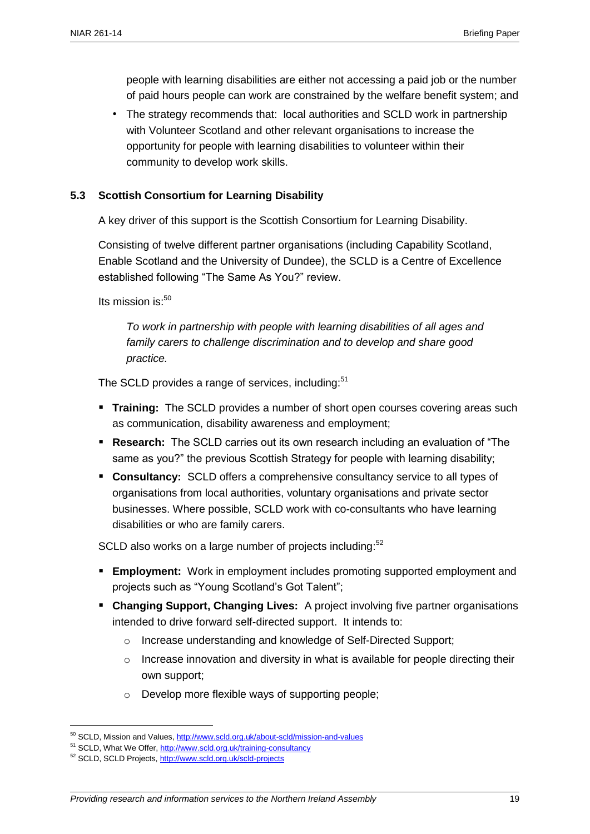people with learning disabilities are either not accessing a paid job or the number of paid hours people can work are constrained by the welfare benefit system; and

• The strategy recommends that: local authorities and SCLD work in partnership with Volunteer Scotland and other relevant organisations to increase the opportunity for people with learning disabilities to volunteer within their community to develop work skills.

#### **5.3 Scottish Consortium for Learning Disability**

A key driver of this support is the Scottish Consortium for Learning Disability.

Consisting of twelve different partner organisations (including Capability Scotland, Enable Scotland and the University of Dundee), the SCLD is a Centre of Excellence established following "The Same As You?" review.

Its mission is: $50$ 

*To work in partnership with people with learning disabilities of all ages and family carers to challenge discrimination and to develop and share good practice.*

The SCLD provides a range of services, including:<sup>51</sup>

- **Training:** The SCLD provides a number of short open courses covering areas such as communication, disability awareness and employment;
- **Research:** The SCLD carries out its own research including an evaluation of "The same as you?" the previous Scottish Strategy for people with learning disability;
- **Consultancy:** SCLD offers a comprehensive consultancy service to all types of organisations from local authorities, voluntary organisations and private sector businesses. Where possible, SCLD work with co-consultants who have learning disabilities or who are family carers.

SCLD also works on a large number of projects including:<sup>52</sup>

- **Employment:** Work in employment includes promoting supported employment and projects such as "Young Scotland's Got Talent";
- **Changing Support, Changing Lives:** A project involving five partner organisations intended to drive forward self-directed support. It intends to:
	- o Increase understanding and knowledge of Self-Directed Support;
	- $\circ$  Increase innovation and diversity in what is available for people directing their own support;
	- o Develop more flexible ways of supporting people;

<sup>50</sup> SCLD, Mission and Values[, http://www.scld.org.uk/about-scld/mission-and-values](http://www.scld.org.uk/about-scld/mission-and-values)

<sup>&</sup>lt;sup>51</sup> SCLD, What We Offer,<http://www.scld.org.uk/training-consultancy>

<sup>52</sup> SCLD, SCLD Projects[, http://www.scld.org.uk/scld-projects](http://www.scld.org.uk/scld-projects)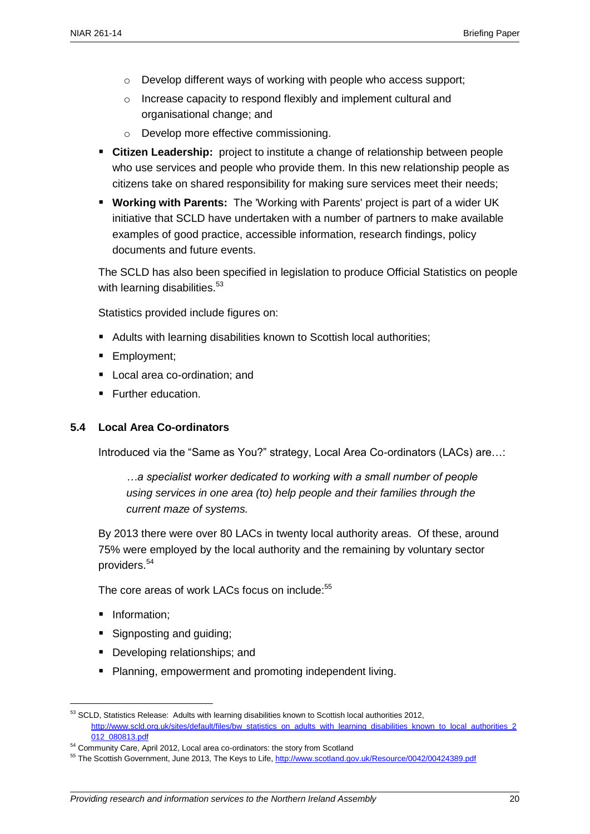- o Develop different ways of working with people who access support;
- o Increase capacity to respond flexibly and implement cultural and organisational change; and
- o Develop more effective commissioning.
- **Citizen Leadership:** project to institute a change of relationship between people who use services and people who provide them. In this new relationship people as citizens take on shared responsibility for making sure services meet their needs;
- **Working with Parents:** The 'Working with Parents' project is part of a wider UK initiative that SCLD have undertaken with a number of partners to make available examples of good practice, accessible information, research findings, policy documents and future events.

The SCLD has also been specified in legislation to produce Official Statistics on people with learning disabilities.<sup>53</sup>

Statistics provided include figures on:

- Adults with learning disabilities known to Scottish local authorities;
- **Employment;**
- Local area co-ordination: and
- **Further education.**

#### **5.4 Local Area Co-ordinators**

Introduced via the "Same as You?" strategy, Local Area Co-ordinators (LACs) are...:

*…a specialist worker dedicated to working with a small number of people using services in one area (to) help people and their families through the current maze of systems.*

By 2013 there were over 80 LACs in twenty local authority areas. Of these, around 75% were employed by the local authority and the remaining by voluntary sector providers.<sup>54</sup>

The core areas of work LACs focus on include:<sup>55</sup>

**Information:** 

- Signposting and guiding;
- Developing relationships; and
- **Planning, empowerment and promoting independent living.**

<sup>&</sup>lt;sup>53</sup> SCLD, Statistics Release: Adults with learning disabilities known to Scottish local authorities 2012, [http://www.scld.org.uk/sites/default/files/bw\\_statistics\\_on\\_adults\\_with\\_learning\\_disabilities\\_known\\_to\\_local\\_authorities\\_2](http://www.scld.org.uk/sites/default/files/bw_statistics_on_adults_with_learning_disabilities_known_to_local_authorities_2012_080813.pdf) [012\\_080813.pdf](http://www.scld.org.uk/sites/default/files/bw_statistics_on_adults_with_learning_disabilities_known_to_local_authorities_2012_080813.pdf)

<sup>&</sup>lt;sup>54</sup> Community Care, April 2012, Local area co-ordinators: the story from Scotland

<sup>&</sup>lt;sup>55</sup> The Scottish Government, June 2013, The Keys to Life,<http://www.scotland.gov.uk/Resource/0042/00424389.pdf>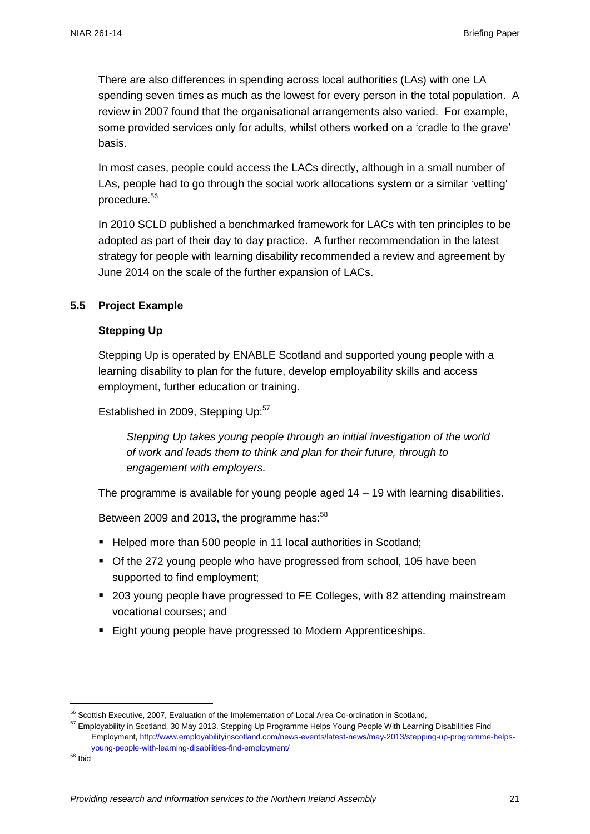There are also differences in spending across local authorities (LAs) with one LA spending seven times as much as the lowest for every person in the total population. A review in 2007 found that the organisational arrangements also varied. For example, some provided services only for adults, whilst others worked on a 'cradle to the grave' basis.

In most cases, people could access the LACs directly, although in a small number of LAs, people had to go through the social work allocations system or a similar 'vetting' procedure.<sup>56</sup>

In 2010 SCLD published a benchmarked framework for LACs with ten principles to be adopted as part of their day to day practice. A further recommendation in the latest strategy for people with learning disability recommended a review and agreement by June 2014 on the scale of the further expansion of LACs.

#### **5.5 Project Example**

#### **Stepping Up**

Stepping Up is operated by ENABLE Scotland and supported young people with a learning disability to plan for the future, develop employability skills and access employment, further education or training.

Established in 2009, Stepping Up:<sup>57</sup>

*Stepping Up takes young people through an initial investigation of the world of work and leads them to think and plan for their future, through to engagement with employers.*

The programme is available for young people aged 14 – 19 with learning disabilities.

Between 2009 and 2013, the programme has: $58$ 

- Helped more than 500 people in 11 local authorities in Scotland;
- Of the 272 young people who have progressed from school, 105 have been supported to find employment;
- 203 young people have progressed to FE Colleges, with 82 attending mainstream vocational courses; and
- **Eight young people have progressed to Modern Apprenticeships.**

<sup>&</sup>lt;sup>56</sup> Scottish Executive, 2007, Evaluation of the Implementation of Local Area Co-ordination in Scotland,

<sup>&</sup>lt;sup>57</sup> Emplovability in Scotland, 30 May 2013, Stepping Up Programme Helps Young People With Learning Disabilities Find Employment, [http://www.employabilityinscotland.com/news-events/latest-news/may-2013/stepping-up-programme-helps](http://www.employabilityinscotland.com/news-events/latest-news/may-2013/stepping-up-programme-helps-young-people-with-learning-disabilities-find-employment/)[young-people-with-learning-disabilities-find-employment/](http://www.employabilityinscotland.com/news-events/latest-news/may-2013/stepping-up-programme-helps-young-people-with-learning-disabilities-find-employment/)

<sup>58</sup> Ibid